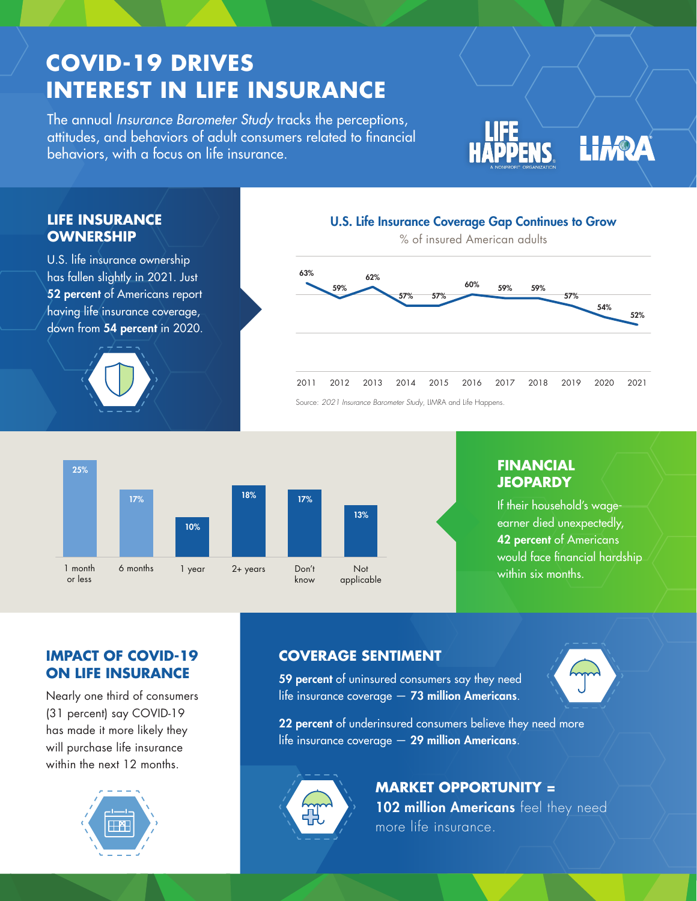# **COVID-19 DRIVES INTEREST IN LIFE INSURANCE**

The annual *Insurance Barometer Study* tracks the perceptions, attitudes, and behaviors of adult consumers related to financial behaviors, with a focus on life insurance.

LIFE **LIFE**<br>HAPPENS LIMPA

### **LIFE INSURANCE OWNERSHIP**

U.S. life insurance ownership has fallen slightly in 2021. Just 52 percent of Americans report having life insurance coverage, down from 54 percent in 2020.



### 2011 2012 2013 2014 2015 2016 2017 2018 2019 2020 2021 57% 59% 59% 60% 57% 57% 62% 59% 63% 54% 52% % of insured American adults

U.S. Life Insurance Coverage Gap Continues to Grow

Source: *2021 Insurance Barometer Study*, LIMRA and Life Happens.



## **FINANCIAL JEOPARDY**

If their household's wageearner died unexpectedly, 42 percent of Americans would face financial hardship within six months.

# **IMPACT OF COVID-19 ON LIFE INSURANCE**

Nearly one third of consumers (31 percent) say COVID-19 has made it more likely they will purchase life insurance within the next 12 months.



# **COVERAGE SENTIMENT**

59 percent of uninsured consumers say they need life insurance coverage  $-73$  million Americans.





**MARKET OPPORTUNITY =** 102 million Americans feel they need more life insurance.